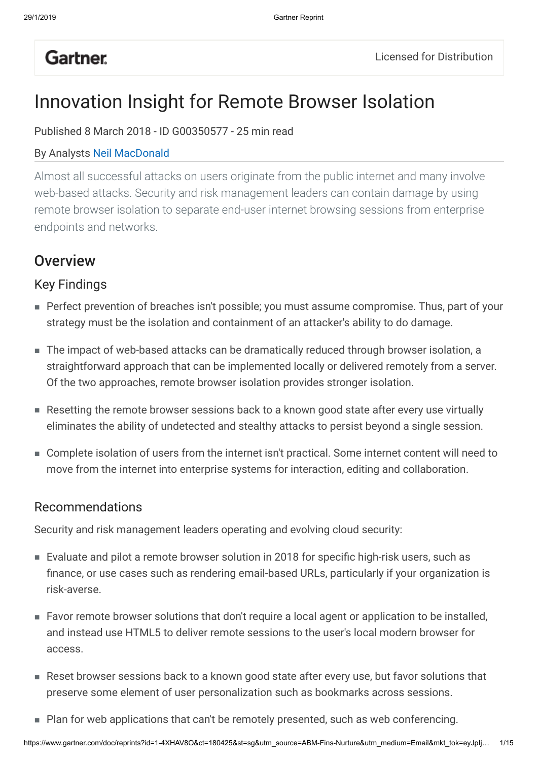## **Gartner**.

# Innovation Insight for Remote Browser Isolation

Published 8 March 2018 - ID G00350577 - 25 min read

#### By Analysts Neil MacDonald

Almost all successful attacks on users originate from the public internet and many involve web-based attacks. Security and risk management leaders can contain damage by using remote browser isolation to separate end-user internet browsing sessions from enterprise endpoints and networks.

## **Overview**

### Key Findings

- Perfect prevention of breaches isn't possible; you must assume compromise. Thus, part of your strategy must be the isolation and containment of an attacker's ability to do damage.
- The impact of web-based attacks can be dramatically reduced through browser isolation, a straightforward approach that can be implemented locally or delivered remotely from a server. Of the two approaches, remote browser isolation provides stronger isolation.
- Resetting the remote browser sessions back to a known good state after every use virtually eliminates the ability of undetected and stealthy attacks to persist beyond a single session.
- Complete isolation of users from the internet isn't practical. Some internet content will need to move from the internet into enterprise systems for interaction, editing and collaboration.

### Recommendations

Security and risk management leaders operating and evolving cloud security:

- Evaluate and pilot a remote browser solution in 2018 for specific high-risk users, such as finance, or use cases such as rendering email-based URLs, particularly if your organization is risk-averse.
- Favor remote browser solutions that don't require a local agent or application to be installed, and instead use HTML5 to deliver remote sessions to the user's local modern browser for access.
- Reset browser sessions back to a known good state after every use, but favor solutions that preserve some element of user personalization such as bookmarks across sessions.
- Plan for web applications that can't be remotely presented, such as web conferencing.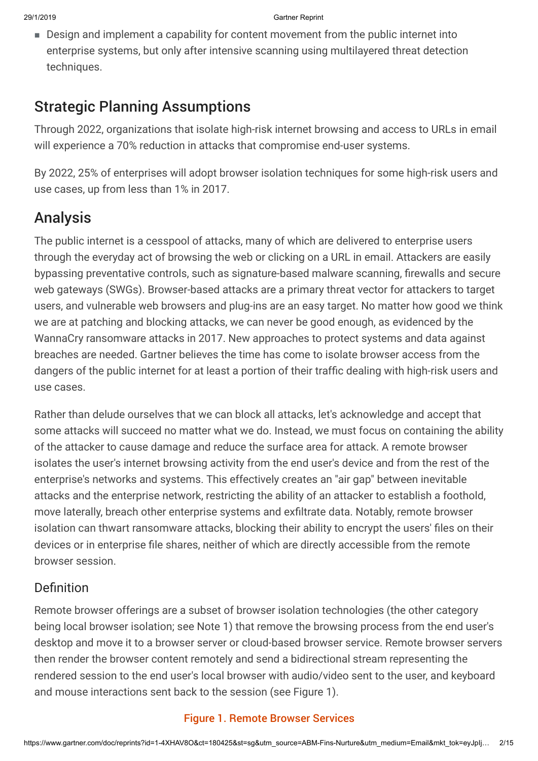■ Design and implement a capability for content movement from the public internet into enterprise systems, but only after intensive scanning using multilayered threat detection techniques.

## Strategic Planning Assumptions

Through 2022, organizations that isolate high-risk internet browsing and access to URLs in email will experience a 70% reduction in attacks that compromise end-user systems.

By 2022, 25% of enterprises will adopt browser isolation techniques for some high-risk users and use cases, up from less than 1% in 2017.

## Analysis

The public internet is a cesspool of attacks, many of which are delivered to enterprise users through the everyday act of browsing the web or clicking on a URL in email. Attackers are easily bypassing preventative controls, such as signature-based malware scanning, firewalls and secure web gateways (SWGs). Browser-based attacks are a primary threat vector for attackers to target users, and vulnerable web browsers and plug-ins are an easy target. No matter how good we think we are at patching and blocking attacks, we can never be good enough, as evidenced by the WannaCry ransomware attacks in 2017. New approaches to protect systems and data against breaches are needed. Gartner believes the time has come to isolate browser access from the dangers of the public internet for at least a portion of their traffic dealing with high-risk users and use cases.

Rather than delude ourselves that we can block all attacks, let's acknowledge and accept that some attacks will succeed no matter what we do. Instead, we must focus on containing the ability of the attacker to cause damage and reduce the surface area for attack. A remote browser isolates the user's internet browsing activity from the end user's device and from the rest of the enterprise's networks and systems. This effectively creates an "air gap" between inevitable attacks and the enterprise network, restricting the ability of an attacker to establish a foothold, move laterally, breach other enterprise systems and exfiltrate data. Notably, remote browser isolation can thwart ransomware attacks, blocking their ability to encrypt the users' files on their devices or in enterprise file shares, neither of which are directly accessible from the remote browser session.

## Definition

Remote browser offerings are a subset of browser isolation technologies (the other category being local browser isolation; see Note 1) that remove the browsing process from the end user's desktop and move it to a browser server or cloud-based browser service. Remote browser servers then render the browser content remotely and send a bidirectional stream representing the rendered session to the end user's local browser with audio/video sent to the user, and keyboard and mouse interactions sent back to the session (see Figure 1).

#### Figure 1. Remote Browser Services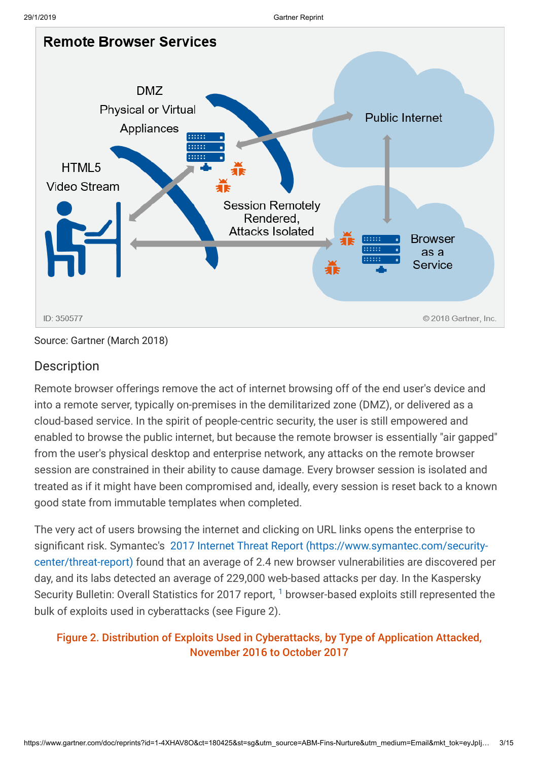

Source: Gartner (March 2018)

### **Description**

Remote browser offerings remove the act of internet browsing off of the end user's device and into a remote server, typically on-premises in the demilitarized zone (DMZ), or delivered as a cloud-based service. In the spirit of people-centric security, the user is still empowered and enabled to browse the public internet, but because the remote browser is essentially "air gapped" from the user's physical desktop and enterprise network, any attacks on the remote browser session are constrained in their ability to cause damage. Every browser session is isolated and treated as if it might have been compromised and, ideally, every session is reset back to a known good state from immutable templates when completed.

The very act of users browsing the internet and clicking on URL links opens the enterprise to [significant risk. Symantec's 2017 Internet Threat Report \(https://www.symantec.com/security](https://www.symantec.com/security-center/threat-report)center/threat-report) found that an average of 2.4 new browser vulnerabilities are discovered per day, and its labs detected an average of 229,000 web-based attacks per day. In the Kaspersky Security Bulletin: Overall Statistics for 20[1](#page-12-0)7 report, <sup>1</sup> browser-based exploits still represented the bulk of exploits used in cyberattacks (see Figure 2).

### Figure 2. Distribution of Exploits Used in Cyberattacks, by Type of Application Attacked, November 2016 to October 2017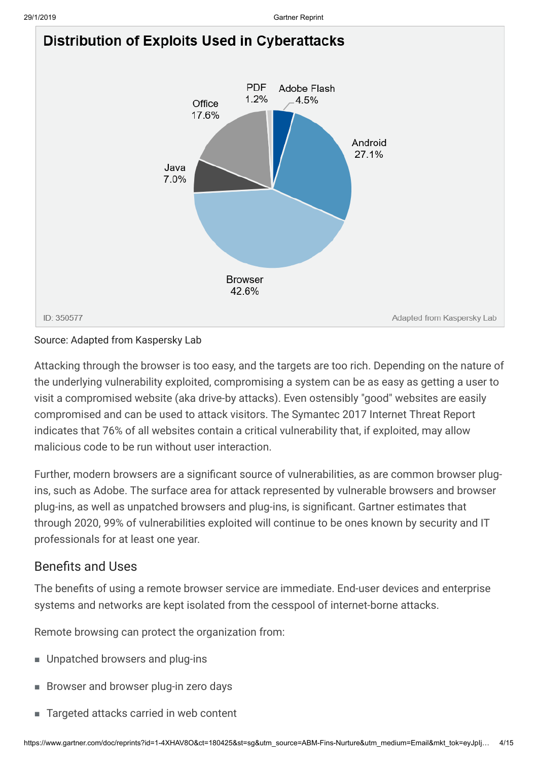

#### Source: Adapted from Kaspersky Lab

Attacking through the browser is too easy, and the targets are too rich. Depending on the nature of the underlying vulnerability exploited, compromising a system can be as easy as getting a user to visit a compromised website (aka drive-by attacks). Even ostensibly "good" websites are easily compromised and can be used to attack visitors. The Symantec 2017 Internet Threat Report indicates that 76% of all websites contain a critical vulnerability that, if exploited, may allow malicious code to be run without user interaction.

Further, modern browsers are a significant source of vulnerabilities, as are common browser plugins, such as Adobe. The surface area for attack represented by vulnerable browsers and browser plug-ins, as well as unpatched browsers and plug-ins, is significant. Gartner estimates that through 2020, 99% of vulnerabilities exploited will continue to be ones known by security and IT professionals for at least one year.

### Benefits and Uses

The benefits of using a remote browser service are immediate. End-user devices and enterprise systems and networks are kept isolated from the cesspool of internet-borne attacks.

Remote browsing can protect the organization from:

- Unpatched browsers and plug-ins
- Browser and browser plug-in zero days
- Targeted attacks carried in web content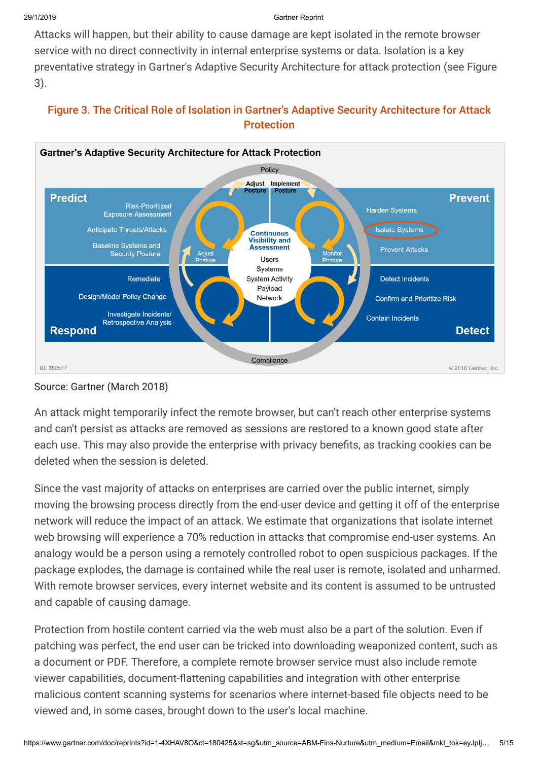Attacks will happen, but their ability to cause damage are kept isolated in the remote browser service with no direct connectivity in internal enterprise systems or data. Isolation is a key preventative strategy in Gartner's Adaptive Security Architecture for attack protection (see Figure 3).



#### Figure 3. The Critical Role of Isolation in Gartner's Adaptive Security Architecture for Attack **Protection**

#### Source: Gartner (March 2018)

An attack might temporarily infect the remote browser, but can't reach other enterprise systems and can't persist as attacks are removed as sessions are restored to a known good state after each use. This may also provide the enterprise with privacy benefits, as tracking cookies can be deleted when the session is deleted.

Since the vast majority of attacks on enterprises are carried over the public internet, simply moving the browsing process directly from the end-user device and getting it off of the enterprise network will reduce the impact of an attack. We estimate that organizations that isolate internet web browsing will experience a 70% reduction in attacks that compromise end-user systems. An analogy would be a person using a remotely controlled robot to open suspicious packages. If the package explodes, the damage is contained while the real user is remote, isolated and unharmed. With remote browser services, every internet website and its content is assumed to be untrusted and capable of causing damage.

Protection from hostile content carried via the web must also be a part of the solution. Even if patching was perfect, the end user can be tricked into downloading weaponized content, such as a document or PDF. Therefore, a complete remote browser service must also include remote viewer capabilities, document-flattening capabilities and integration with other enterprise malicious content scanning systems for scenarios where internet-based file objects need to be viewed and, in some cases, brought down to the user's local machine.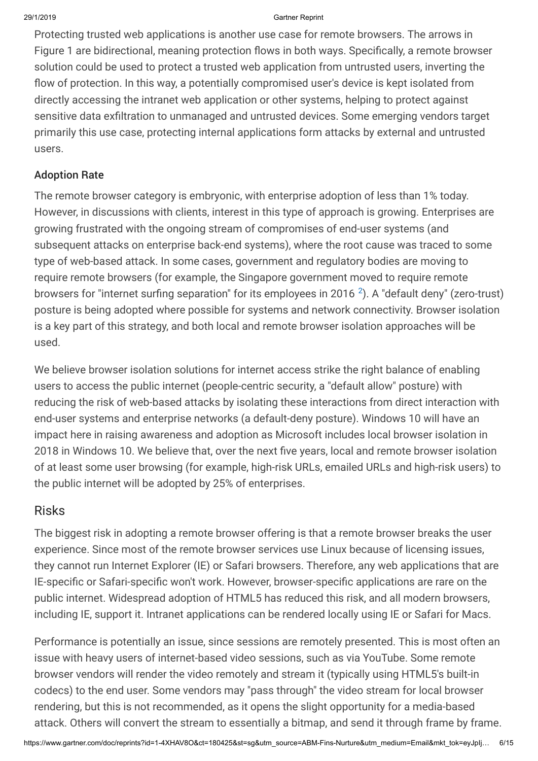Protecting trusted web applications is another use case for remote browsers. The arrows in Figure 1 are bidirectional, meaning protection flows in both ways. Specifically, a remote browser solution could be used to protect a trusted web application from untrusted users, inverting the flow of protection. In this way, a potentially compromised user's device is kept isolated from directly accessing the intranet web application or other systems, helping to protect against sensitive data exfiltration to unmanaged and untrusted devices. Some emerging vendors target primarily this use case, protecting internal applications form attacks by external and untrusted users.

#### Adoption Rate

The remote browser category is embryonic, with enterprise adoption of less than 1% today. However, in discussions with clients, interest in this type of approach is growing. Enterprises are growing frustrated with the ongoing stream of compromises of end-user systems (and subsequent attacks on enterprise back-end systems), where the root cause was traced to some type of web-based attack. In some cases, government and regulatory bodies are moving to require remote browsers (for example, the Singapore government moved to require remote browsers for "internet surfing separation" for its employees in [2](#page-12-1)016  $^2$ ). A "default deny" (zero-trust) posture is being adopted where possible for systems and network connectivity. Browser isolation is a key part of this strategy, and both local and remote browser isolation approaches will be used.

We believe browser isolation solutions for internet access strike the right balance of enabling users to access the public internet (people-centric security, a "default allow" posture) with reducing the risk of web-based attacks by isolating these interactions from direct interaction with end-user systems and enterprise networks (a default-deny posture). Windows 10 will have an impact here in raising awareness and adoption as Microsoft includes local browser isolation in 2018 in Windows 10. We believe that, over the next five years, local and remote browser isolation of at least some user browsing (for example, high-risk URLs, emailed URLs and high-risk users) to the public internet will be adopted by 25% of enterprises.

#### Risks

The biggest risk in adopting a remote browser offering is that a remote browser breaks the user experience. Since most of the remote browser services use Linux because of licensing issues, they cannot run Internet Explorer (IE) or Safari browsers. Therefore, any web applications that are IE-specific or Safari-specific won't work. However, browser-specific applications are rare on the public internet. Widespread adoption of HTML5 has reduced this risk, and all modern browsers, including IE, support it. Intranet applications can be rendered locally using IE or Safari for Macs.

Performance is potentially an issue, since sessions are remotely presented. This is most often an issue with heavy users of internet-based video sessions, such as via YouTube. Some remote browser vendors will render the video remotely and stream it (typically using HTML5's built-in codecs) to the end user. Some vendors may "pass through" the video stream for local browser rendering, but this is not recommended, as it opens the slight opportunity for a media-based attack. Others will convert the stream to essentially a bitmap, and send it through frame by frame.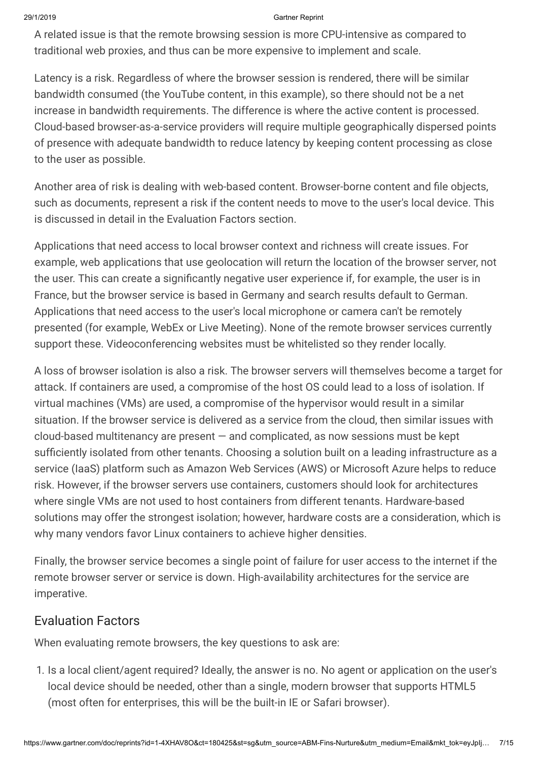A related issue is that the remote browsing session is more CPU-intensive as compared to traditional web proxies, and thus can be more expensive to implement and scale.

Latency is a risk. Regardless of where the browser session is rendered, there will be similar bandwidth consumed (the YouTube content, in this example), so there should not be a net increase in bandwidth requirements. The difference is where the active content is processed. Cloud-based browser-as-a-service providers will require multiple geographically dispersed points of presence with adequate bandwidth to reduce latency by keeping content processing as close to the user as possible.

Another area of risk is dealing with web-based content. Browser-borne content and file objects, such as documents, represent a risk if the content needs to move to the user's local device. This is discussed in detail in the Evaluation Factors section.

Applications that need access to local browser context and richness will create issues. For example, web applications that use geolocation will return the location of the browser server, not the user. This can create a significantly negative user experience if, for example, the user is in France, but the browser service is based in Germany and search results default to German. Applications that need access to the user's local microphone or camera can't be remotely presented (for example, WebEx or Live Meeting). None of the remote browser services currently support these. Videoconferencing websites must be whitelisted so they render locally.

A loss of browser isolation is also a risk. The browser servers will themselves become a target for attack. If containers are used, a compromise of the host OS could lead to a loss of isolation. If virtual machines (VMs) are used, a compromise of the hypervisor would result in a similar situation. If the browser service is delivered as a service from the cloud, then similar issues with  $cloud$ -based multitenancy are present  $-$  and complicated, as now sessions must be kept sufficiently isolated from other tenants. Choosing a solution built on a leading infrastructure as a service (IaaS) platform such as Amazon Web Services (AWS) or Microsoft Azure helps to reduce risk. However, if the browser servers use containers, customers should look for architectures where single VMs are not used to host containers from different tenants. Hardware-based solutions may offer the strongest isolation; however, hardware costs are a consideration, which is why many vendors favor Linux containers to achieve higher densities.

Finally, the browser service becomes a single point of failure for user access to the internet if the remote browser server or service is down. High-availability architectures for the service are imperative.

### Evaluation Factors

When evaluating remote browsers, the key questions to ask are:

1. Is a local client/agent required? Ideally, the answer is no. No agent or application on the user's local device should be needed, other than a single, modern browser that supports HTML5 (most often for enterprises, this will be the built-in IE or Safari browser).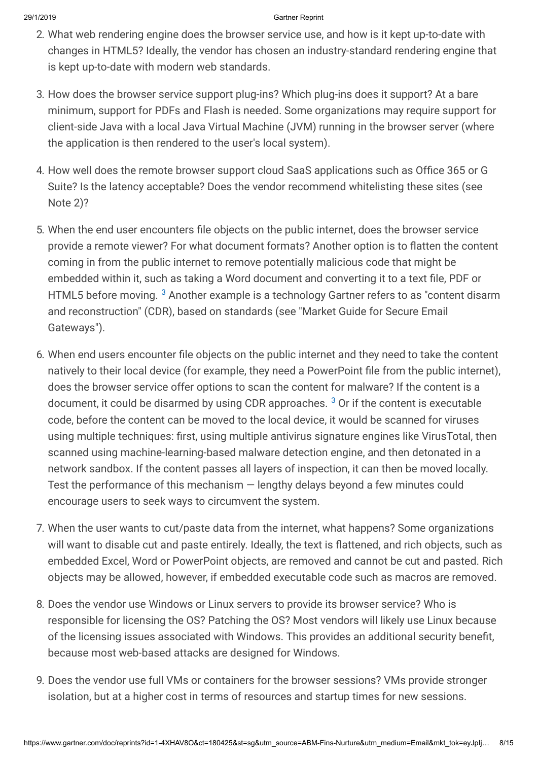- 2. What web rendering engine does the browser service use, and how is it kept up-to-date with changes in HTML5? Ideally, the vendor has chosen an industry-standard rendering engine that is kept up-to-date with modern web standards.
- 3. How does the browser service support plug-ins? Which plug-ins does it support? At a bare minimum, support for PDFs and Flash is needed. Some organizations may require support for client-side Java with a local Java Virtual Machine (JVM) running in the browser server (where the application is then rendered to the user's local system).
- 4. How well does the remote browser support cloud SaaS applications such as Office 365 or G Suite? Is the latency acceptable? Does the vendor recommend whitelisting these sites (see Note 2)?
- 5. When the end user encounters file objects on the public internet, does the browser service provide a remote viewer? For what document formats? Another option is to flatten the content coming in from the public internet to remove potentially malicious code that might be embedded within it, such as taking a Word document and converting it to a text file, PDF or HTML5 before moving.  $^3$  $^3$  Another example is a technology Gartner refers to as "content disarm and reconstruction" (CDR), based on standards (see "Market Guide for Secure Email Gateways").
- 6. When end users encounter file objects on the public internet and they need to take the content natively to their local device (for example, they need a PowerPoint file from the public internet), does the browser service offer options to scan the content for malware? If the content is a document, it could be disarmed by using CDR approaches.  $^3$  $^3$  Or if the content is executable code, before the content can be moved to the local device, it would be scanned for viruses using multiple techniques: first, using multiple antivirus signature engines like VirusTotal, then scanned using machine-learning-based malware detection engine, and then detonated in a network sandbox. If the content passes all layers of inspection, it can then be moved locally. Test the performance of this mechanism — lengthy delays beyond a few minutes could encourage users to seek ways to circumvent the system.
- 7. When the user wants to cut/paste data from the internet, what happens? Some organizations will want to disable cut and paste entirely. Ideally, the text is flattened, and rich objects, such as embedded Excel, Word or PowerPoint objects, are removed and cannot be cut and pasted. Rich objects may be allowed, however, if embedded executable code such as macros are removed.
- 8. Does the vendor use Windows or Linux servers to provide its browser service? Who is responsible for licensing the OS? Patching the OS? Most vendors will likely use Linux because of the licensing issues associated with Windows. This provides an additional security benefit, because most web-based attacks are designed for Windows.
- 9. Does the vendor use full VMs or containers for the browser sessions? VMs provide stronger isolation, but at a higher cost in terms of resources and startup times for new sessions.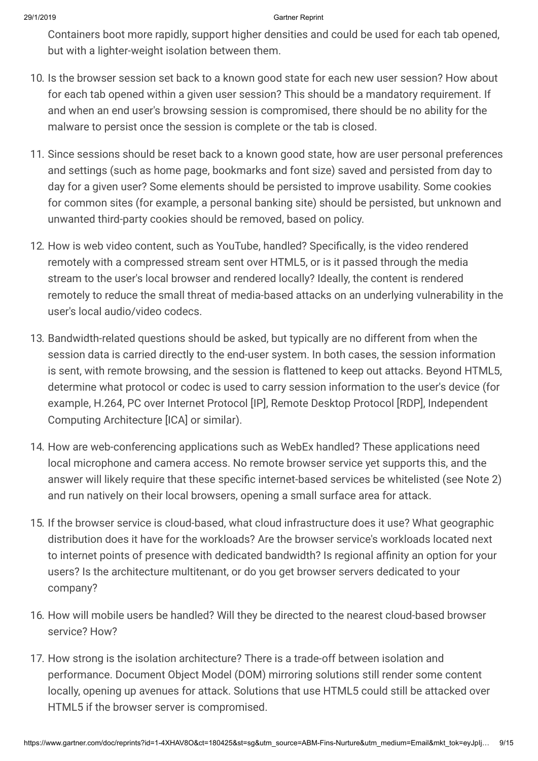Containers boot more rapidly, support higher densities and could be used for each tab opened, but with a lighter-weight isolation between them.

- 10. Is the browser session set back to a known good state for each new user session? How about for each tab opened within a given user session? This should be a mandatory requirement. If and when an end user's browsing session is compromised, there should be no ability for the malware to persist once the session is complete or the tab is closed.
- 11. Since sessions should be reset back to a known good state, how are user personal preferences and settings (such as home page, bookmarks and font size) saved and persisted from day to day for a given user? Some elements should be persisted to improve usability. Some cookies for common sites (for example, a personal banking site) should be persisted, but unknown and unwanted third-party cookies should be removed, based on policy.
- 12. How is web video content, such as YouTube, handled? Specifically, is the video rendered remotely with a compressed stream sent over HTML5, or is it passed through the media stream to the user's local browser and rendered locally? Ideally, the content is rendered remotely to reduce the small threat of media-based attacks on an underlying vulnerability in the user's local audio/video codecs.
- 13. Bandwidth-related questions should be asked, but typically are no different from when the session data is carried directly to the end-user system. In both cases, the session information is sent, with remote browsing, and the session is flattened to keep out attacks. Beyond HTML5, determine what protocol or codec is used to carry session information to the user's device (for example, H.264, PC over Internet Protocol [IP], Remote Desktop Protocol [RDP], Independent Computing Architecture [ICA] or similar).
- 14. How are web-conferencing applications such as WebEx handled? These applications need local microphone and camera access. No remote browser service yet supports this, and the answer will likely require that these specific internet-based services be whitelisted (see Note 2) and run natively on their local browsers, opening a small surface area for attack.
- 15. If the browser service is cloud-based, what cloud infrastructure does it use? What geographic distribution does it have for the workloads? Are the browser service's workloads located next to internet points of presence with dedicated bandwidth? Is regional affinity an option for your users? Is the architecture multitenant, or do you get browser servers dedicated to your company?
- 16. How will mobile users be handled? Will they be directed to the nearest cloud-based browser service? How?
- 17. How strong is the isolation architecture? There is a trade-off between isolation and performance. Document Object Model (DOM) mirroring solutions still render some content locally, opening up avenues for attack. Solutions that use HTML5 could still be attacked over HTML5 if the browser server is compromised.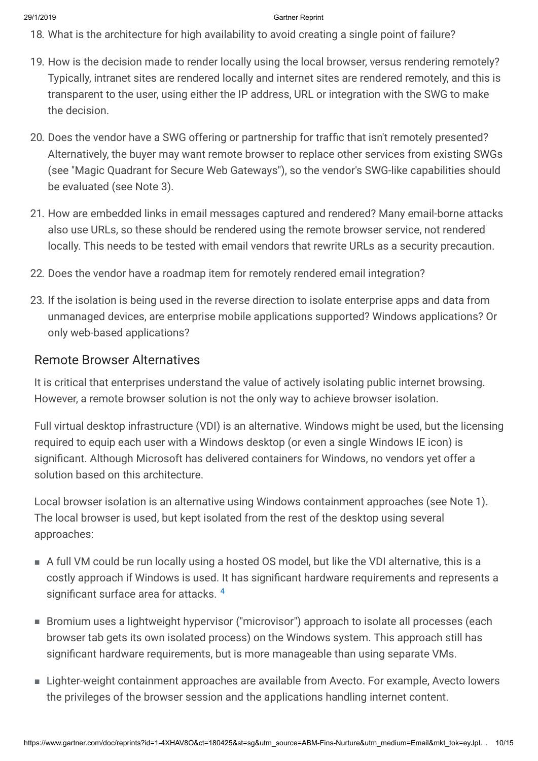- 18. What is the architecture for high availability to avoid creating a single point of failure?
- 19. How is the decision made to render locally using the local browser, versus rendering remotely? Typically, intranet sites are rendered locally and internet sites are rendered remotely, and this is transparent to the user, using either the IP address, URL or integration with the SWG to make the decision.
- 20. Does the vendor have a SWG offering or partnership for traffic that isn't remotely presented? Alternatively, the buyer may want remote browser to replace other services from existing SWGs (see "Magic Quadrant for Secure Web Gateways"), so the vendor's SWG-like capabilities should be evaluated (see Note 3).
- 21. How are embedded links in email messages captured and rendered? Many email-borne attacks also use URLs, so these should be rendered using the remote browser service, not rendered locally. This needs to be tested with email vendors that rewrite URLs as a security precaution.
- 22. Does the vendor have a roadmap item for remotely rendered email integration?
- 23. If the isolation is being used in the reverse direction to isolate enterprise apps and data from unmanaged devices, are enterprise mobile applications supported? Windows applications? Or only web-based applications?

#### Remote Browser Alternatives

It is critical that enterprises understand the value of actively isolating public internet browsing. However, a remote browser solution is not the only way to achieve browser isolation.

Full virtual desktop infrastructure (VDI) is an alternative. Windows might be used, but the licensing required to equip each user with a Windows desktop (or even a single Windows IE icon) is significant. Although Microsoft has delivered containers for Windows, no vendors yet offer a solution based on this architecture.

Local browser isolation is an alternative using Windows containment approaches (see Note 1). The local browser is used, but kept isolated from the rest of the desktop using several approaches:

- A full VM could be run locally using a hosted OS model, but like the VDI alternative, this is a costly approach if Windows is used. It has significant hardware requirements and represents a significant surface area for attacks. [4](#page-13-0)
- Bromium uses a lightweight hypervisor ("microvisor") approach to isolate all processes (each browser tab gets its own isolated process) on the Windows system. This approach still has significant hardware requirements, but is more manageable than using separate VMs.
- Lighter-weight containment approaches are available from Avecto. For example, Avecto lowers the privileges of the browser session and the applications handling internet content.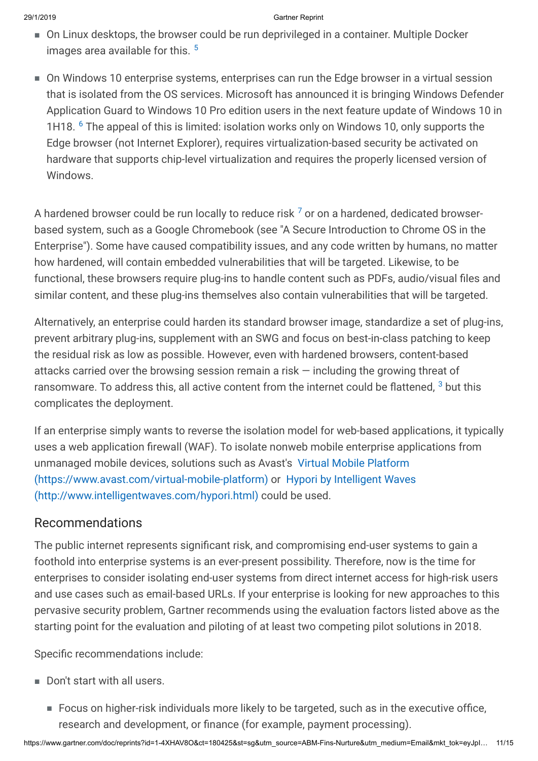- On Linux desktops, the browser could be run deprivileged in a container. Multiple Docker images area available for this.<sup>[5](#page-13-2)</sup>
- On Windows 10 enterprise systems, enterprises can run the Edge browser in a virtual session that is isolated from the OS services. Microsoft has announced it is bringing Windows Defender Application Guard to Windows 10 Pro edition users in the next feature update of Windows 10 in 1H18. <sup>[6](#page-13-3)</sup> The appeal of this is limited: isolation works only on Windows 10, only supports the Edge browser (not Internet Explorer), requires virtualization-based security be activated on hardware that supports chip-level virtualization and requires the properly licensed version of Windows.

A hardened browser could be run locally to reduce risk  $^7$  $^7$  or on a hardened, dedicated browserbased system, such as a Google Chromebook (see "A Secure Introduction to Chrome OS in the Enterprise"). Some have caused compatibility issues, and any code written by humans, no matter how hardened, will contain embedded vulnerabilities that will be targeted. Likewise, to be functional, these browsers require plug-ins to handle content such as PDFs, audio/visual files and similar content, and these plug-ins themselves also contain vulnerabilities that will be targeted.

Alternatively, an enterprise could harden its standard browser image, standardize a set of plug-ins, prevent arbitrary plug-ins, supplement with an SWG and focus on best-in-class patching to keep the residual risk as low as possible. However, even with hardened browsers, content-based attacks carried over the browsing session remain a risk — including the growing threat of ransomware. To address this, all active content from the internet could be flattened,  $^3$  $^3$  but this complicates the deployment.

If an enterprise simply wants to reverse the isolation model for web-based applications, it typically uses a web application firewall (WAF). To isolate nonweb mobile enterprise applications from [unmanaged mobile devices, solutions such as Avast's Virtual Mobile Platform](https://www.avast.com/virtual-mobile-platform) [\(https://www.avast.com/virtual-mobile-platform\) or Hypori by Intelligent Waves](http://www.intelligentwaves.com/hypori.html) (http://www.intelligentwaves.com/hypori.html) could be used.

### Recommendations

The public internet represents significant risk, and compromising end-user systems to gain a foothold into enterprise systems is an ever-present possibility. Therefore, now is the time for enterprises to consider isolating end-user systems from direct internet access for high-risk users and use cases such as email-based URLs. If your enterprise is looking for new approaches to this pervasive security problem, Gartner recommends using the evaluation factors listed above as the starting point for the evaluation and piloting of at least two competing pilot solutions in 2018.

Specific recommendations include:

- Don't start with all users.
	- Focus on higher-risk individuals more likely to be targeted, such as in the executive office, research and development, or finance (for example, payment processing).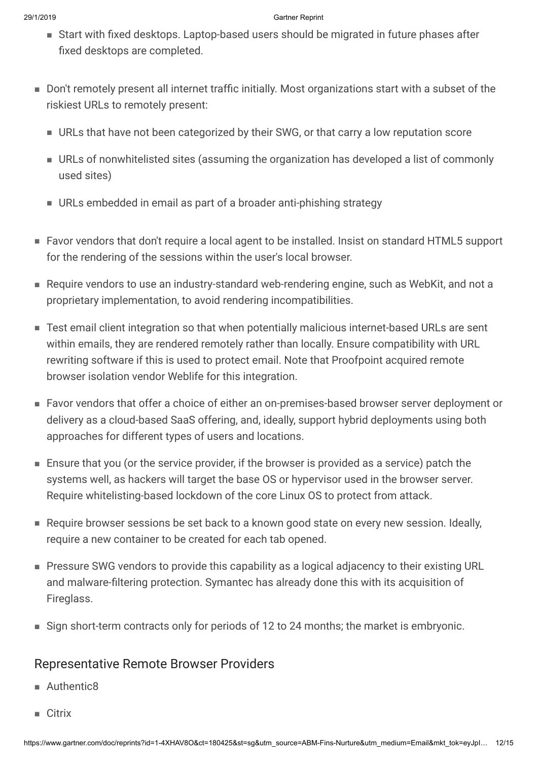- Start with fixed desktops. Laptop-based users should be migrated in future phases after fixed desktops are completed.
- Don't remotely present all internet traffic initially. Most organizations start with a subset of the riskiest URLs to remotely present:
	- URLs that have not been categorized by their SWG, or that carry a low reputation score
	- URLs of nonwhitelisted sites (assuming the organization has developed a list of commonly used sites)
	- URLs embedded in email as part of a broader anti-phishing strategy
- Favor vendors that don't require a local agent to be installed. Insist on standard HTML5 support for the rendering of the sessions within the user's local browser.
- Require vendors to use an industry-standard web-rendering engine, such as WebKit, and not a proprietary implementation, to avoid rendering incompatibilities.
- Test email client integration so that when potentially malicious internet-based URLs are sent within emails, they are rendered remotely rather than locally. Ensure compatibility with URL rewriting software if this is used to protect email. Note that Proofpoint acquired remote browser isolation vendor Weblife for this integration.
- Favor vendors that offer a choice of either an on-premises-based browser server deployment or delivery as a cloud-based SaaS offering, and, ideally, support hybrid deployments using both approaches for different types of users and locations.
- $\blacksquare$  Ensure that you (or the service provider, if the browser is provided as a service) patch the systems well, as hackers will target the base OS or hypervisor used in the browser server. Require whitelisting-based lockdown of the core Linux OS to protect from attack.
- Require browser sessions be set back to a known good state on every new session. Ideally, require a new container to be created for each tab opened.
- Pressure SWG vendors to provide this capability as a logical adjacency to their existing URL and malware-filtering protection. Symantec has already done this with its acquisition of Fireglass.
- Sign short-term contracts only for periods of 12 to 24 months; the market is embryonic.

### Representative Remote Browser Providers

- Authentic8
- Citrix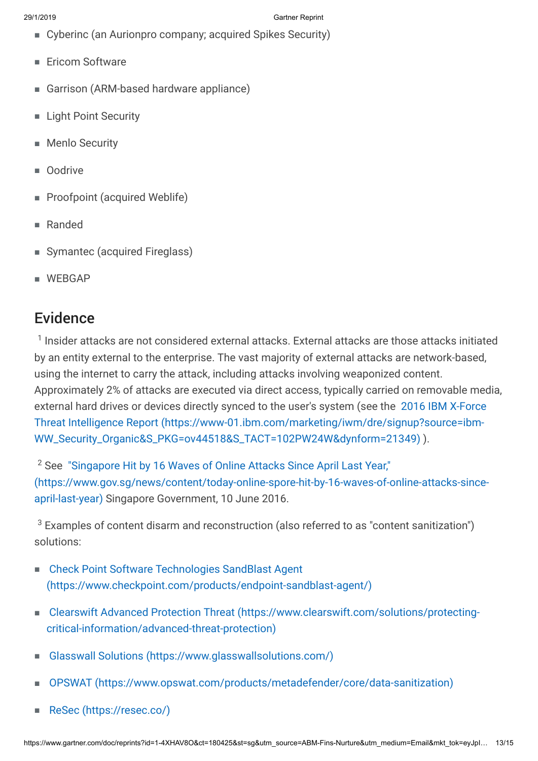- Cyberinc (an Aurionpro company; acquired Spikes Security)
- Ericom Software
- Garrison (ARM-based hardware appliance)
- **Light Point Security**
- **Menlo Security**
- Oodrive
- **Proofpoint (acquired Weblife)**
- Randed
- Symantec (acquired Fireglass)
- <span id="page-12-0"></span>■ WEBGAP

## Evidence

 $^{\text{1}}$  Insider attacks are not considered external attacks. External attacks are those attacks initiated by an entity external to the enterprise. The vast majority of external attacks are network-based, using the internet to carry the attack, including attacks involving weaponized content. Approximately 2% of attacks are executed via direct access, typically carried on removable media, [external hard drives or devices directly synced to the user's system \(see the 2016 IBM X-Force](https://www-01.ibm.com/marketing/iwm/dre/signup?source=ibm-WW_Security_Organic&S_PKG=ov44518&S_TACT=102PW24W&dynform=21349) Threat Intelligence Report (https://www-01.ibm.com/marketing/iwm/dre/signup?source=ibm-WW\_Security\_Organic&S\_PKG=ov44518&S\_TACT=102PW24W&dynform=21349) ).

<span id="page-12-2"></span><span id="page-12-1"></span> $2$  See  $\,$  "Singapore Hit by 16 Waves of Online Attacks Since April Last Year," [\(https://www.gov.sg/news/content/today-online-spore-hit-by-16-waves-of-online-attacks-since](https://www.gov.sg/news/content/today-online-spore-hit-by-16-waves-of-online-attacks-since-april-last-year)april-last-year) Singapore Government, 10 June 2016.

 $^3$  Examples of content disarm and reconstruction (also referred to as "content sanitization") solutions:

- Check Point Software Technologies SandBlast Agent [\(https://www.checkpoint.com/products/endpoint-sandblast-agent/\)](https://www.checkpoint.com/products/endpoint-sandblast-agent/) ■
- [Clearswift Advanced Protection Threat \(https://www.clearswift.com/solutions/protecting](https://www.clearswift.com/solutions/protecting-critical-information/advanced-threat-protection)critical-information/advanced-threat-protection)
- [Glasswall Solutions \(https://www.glasswallsolutions.com/\)](https://www.glasswallsolutions.com/)
- [OPSWAT \(https://www.opswat.com/products/metadefender/core/data-sanitization\)](https://www.opswat.com/products/metadefender/core/data-sanitization)
- [ReSec \(https://resec.co/\)](https://resec.co/)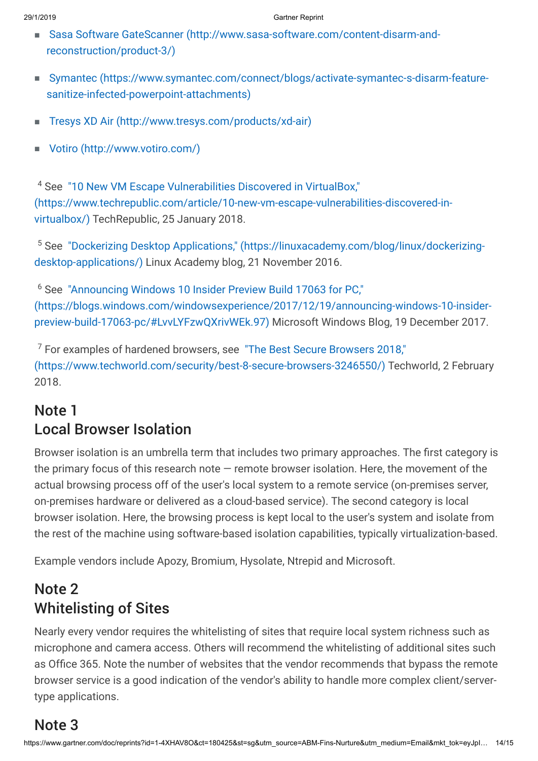- [Sasa Software GateScanner \(http://www.sasa-software.com/content-disarm-and-](http://www.sasa-software.com/content-disarm-and-reconstruction/product-3/) reconstruction/product-3/)
- [Symantec \(https://www.symantec.com/connect/blogs/activate-symantec-s-disarm-feature](https://www.symantec.com/connect/blogs/activate-symantec-s-disarm-feature-sanitize-infected-powerpoint-attachments)sanitize-infected-powerpoint-attachments) ■
- <span id="page-13-0"></span>■ [Tresys XD Air \(http://www.tresys.com/products/xd-air\)](http://www.tresys.com/products/xd-air)
- [Votiro \(http://www.votiro.com/\)](http://www.votiro.com/)

<span id="page-13-2"></span><sup>4</sup> See "10 New VM Escape Vulnerabilities Discovered in VirtualBox," [\(https://www.techrepublic.com/article/10-new-vm-escape-vulnerabilities-discovered-in](https://www.techrepublic.com/article/10-new-vm-escape-vulnerabilities-discovered-in-virtualbox/)virtualbox/) TechRepublic, 25 January 2018.

<span id="page-13-3"></span><sup>5</sup> [See "Dockerizing Desktop Applications," \(https://linuxacademy.com/blog/linux/dockerizing](https://linuxacademy.com/blog/linux/dockerizing-desktop-applications/)desktop-applications/) Linux Academy blog, 21 November 2016.

<span id="page-13-1"></span><sup>6</sup> See "Announcing Windows 10 Insider Preview Build 17063 for PC," [\(https://blogs.windows.com/windowsexperience/2017/12/19/announcing-windows-10-insider](https://blogs.windows.com/windowsexperience/2017/12/19/announcing-windows-10-insider-preview-build-17063-pc/#LvvLYFzwQXrivWEk.97)preview-build-17063-pc/#LvvLYFzwQXrivWEk.97) Microsoft Windows Blog, 19 December 2017.

 $^7$  For examples of hardened browsers, see  $\,$  "The Best Secure Browsers 2018,"  $\,$ [\(https://www.techworld.com/security/best-8-secure-browsers-3246550/\) Tech](https://www.techworld.com/security/best-8-secure-browsers-3246550/)world, 2 February 2018.

## Note 1 Local Browser Isolation

Browser isolation is an umbrella term that includes two primary approaches. The first category is the primary focus of this research note  $-$  remote browser isolation. Here, the movement of the actual browsing process off of the user's local system to a remote service (on-premises server, on-premises hardware or delivered as a cloud-based service). The second category is local browser isolation. Here, the browsing process is kept local to the user's system and isolate from the rest of the machine using software-based isolation capabilities, typically virtualization-based.

Example vendors include Apozy, Bromium, Hysolate, Ntrepid and Microsoft.

## Note 2 Whitelisting of Sites

Nearly every vendor requires the whitelisting of sites that require local system richness such as microphone and camera access. Others will recommend the whitelisting of additional sites such as Office 365. Note the number of websites that the vendor recommends that bypass the remote browser service is a good indication of the vendor's ability to handle more complex client/servertype applications.

## Note 3